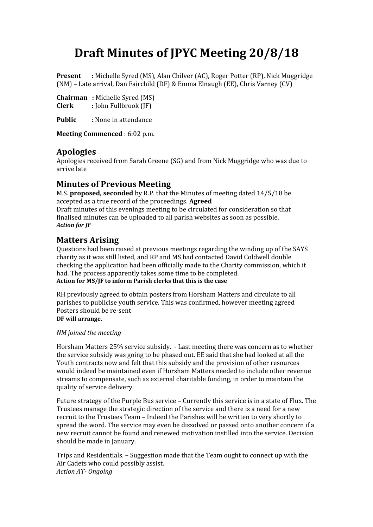# **Draft Minutes of JPYC Meeting 20/8/18**

**Present :** Michelle Syred (MS), Alan Chilver (AC), Roger Potter (RP), Nick Muggridge (NM) – Late arrival, Dan Fairchild (DF) & Emma Elnaugh (EE), Chris Varney (CV)

**Chairman :** Michelle Syred (MS) **Clerk :** John Fullbrook (JF)

**Public** : None in attendance

**Meeting Commenced** : 6:02 p.m.

### **Apologies**

Apologies received from Sarah Greene (SG) and from Nick Muggridge who was due to arrive late

## **Minutes of Previous Meeting**

M.S. **proposed, seconded** by R.P. that the Minutes of meeting dated 14/5/18 be accepted as a true record of the proceedings. **Agreed** Draft minutes of this evenings meeting to be circulated for consideration so that

finalised minutes can be uploaded to all parish websites as soon as possible. *Action for JF*

## **Matters Arising**

Questions had been raised at previous meetings regarding the winding up of the SAYS charity as it was still listed, and RP and MS had contacted David Coldwell double checking the application had been officially made to the Charity commission, which it had. The process apparently takes some time to be completed. **Action for MS/JF to inform Parish clerks that this is the case** 

RH previously agreed to obtain posters from Horsham Matters and circulate to all parishes to publicise youth service. This was confirmed, however meeting agreed Posters should be re-sent **DF will arrange**.

#### *NM joined the meeting*

Horsham Matters 25% service subsidy. - Last meeting there was concern as to whether the service subsidy was going to be phased out. EE said that she had looked at all the Youth contracts now and felt that this subsidy and the provision of other resources would indeed be maintained even if Horsham Matters needed to include other revenue streams to compensate, such as external charitable funding, in order to maintain the quality of service delivery.

Future strategy of the Purple Bus service – Currently this service is in a state of Flux. The Trustees manage the strategic direction of the service and there is a need for a new recruit to the Trustees Team – Indeed the Parishes will be written to very shortly to spread the word. The service may even be dissolved or passed onto another concern if a new recruit cannot be found and renewed motivation instilled into the service. Decision should be made in January.

Trips and Residentials. – Suggestion made that the Team ought to connect up with the Air Cadets who could possibly assist. *Action AT- Ongoing*